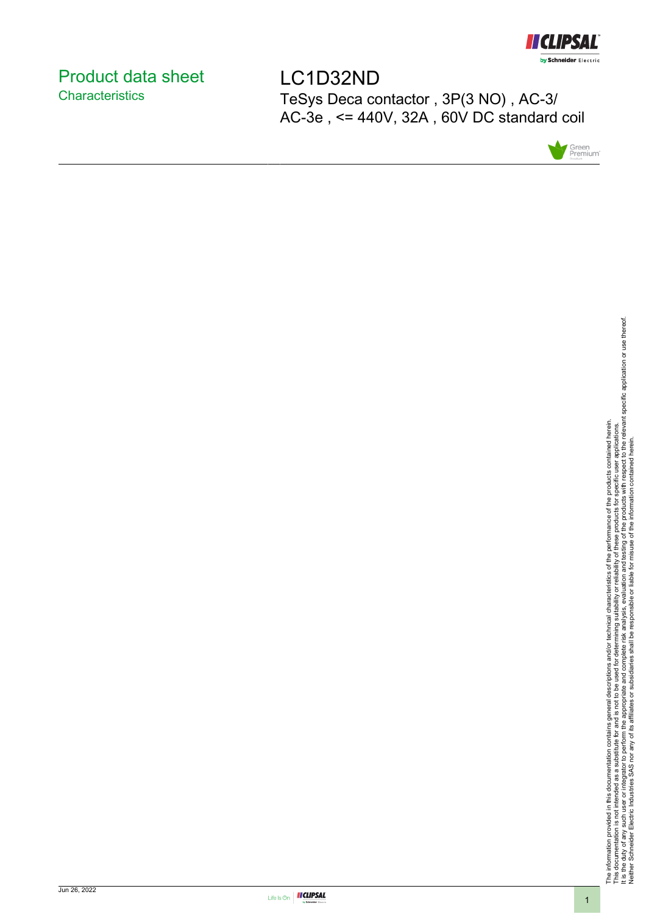

# <span id="page-0-0"></span>Product data sheet **Characteristics**

LC1D32ND TeSys Deca contactor , 3P(3 NO) , AC-3/ AC-3e , <= 440V, 32A , 60V DC standard coil



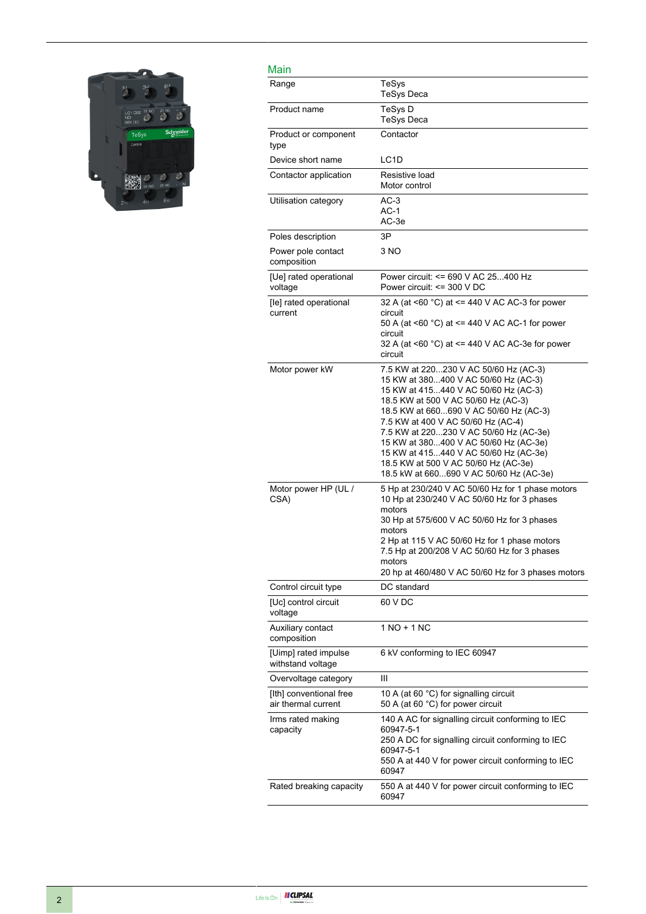

#### Main

| Main                                           |                                                                                                                                                                                                                                                                                                                                                                                                                                                             |
|------------------------------------------------|-------------------------------------------------------------------------------------------------------------------------------------------------------------------------------------------------------------------------------------------------------------------------------------------------------------------------------------------------------------------------------------------------------------------------------------------------------------|
| Range                                          | TeSys<br><b>TeSys Deca</b>                                                                                                                                                                                                                                                                                                                                                                                                                                  |
| Product name                                   | TeSys D<br><b>TeSys Deca</b>                                                                                                                                                                                                                                                                                                                                                                                                                                |
| Product or component<br>type                   | Contactor                                                                                                                                                                                                                                                                                                                                                                                                                                                   |
| Device short name                              | LC1D                                                                                                                                                                                                                                                                                                                                                                                                                                                        |
| Contactor application                          | Resistive load<br>Motor control                                                                                                                                                                                                                                                                                                                                                                                                                             |
| Utilisation category                           | AC-3<br>$AC-1$<br>AC-3e                                                                                                                                                                                                                                                                                                                                                                                                                                     |
| Poles description                              | 3P                                                                                                                                                                                                                                                                                                                                                                                                                                                          |
| Power pole contact<br>composition              | 3 NO                                                                                                                                                                                                                                                                                                                                                                                                                                                        |
| [Ue] rated operational<br>voltage              | Power circuit: <= 690 V AC 25400 Hz<br>Power circuit: <= 300 V DC                                                                                                                                                                                                                                                                                                                                                                                           |
| [le] rated operational<br>current              | 32 A (at <60 °C) at <= 440 V AC AC-3 for power<br>circuit<br>50 A (at <60 °C) at <= 440 V AC AC-1 for power                                                                                                                                                                                                                                                                                                                                                 |
|                                                | circuit<br>32 A (at <60 °C) at <= 440 V AC AC-3e for power<br>circuit                                                                                                                                                                                                                                                                                                                                                                                       |
| Motor power kW                                 | 7.5 KW at 220230 V AC 50/60 Hz (AC-3)<br>15 KW at 380400 V AC 50/60 Hz (AC-3)<br>15 KW at 415440 V AC 50/60 Hz (AC-3)<br>18.5 KW at 500 V AC 50/60 Hz (AC-3)<br>18.5 KW at 660690 V AC 50/60 Hz (AC-3)<br>7.5 KW at 400 V AC 50/60 Hz (AC-4)<br>7.5 KW at 220230 V AC 50/60 Hz (AC-3e)<br>15 KW at 380400 V AC 50/60 Hz (AC-3e)<br>15 KW at 415440 V AC 50/60 Hz (AC-3e)<br>18.5 KW at 500 V AC 50/60 Hz (AC-3e)<br>18.5 kW at 660690 V AC 50/60 Hz (AC-3e) |
| Motor power HP (UL /<br>CSA)                   | 5 Hp at 230/240 V AC 50/60 Hz for 1 phase motors<br>10 Hp at 230/240 V AC 50/60 Hz for 3 phases<br>motors<br>30 Hp at 575/600 V AC 50/60 Hz for 3 phases<br>motors<br>2 Hp at 115 V AC 50/60 Hz for 1 phase motors<br>7.5 Hp at 200/208 V AC 50/60 Hz for 3 phases<br>motors<br>20 hp at 460/480 V AC 50/60 Hz for 3 phases motors                                                                                                                          |
| Control circuit type                           | DC standard                                                                                                                                                                                                                                                                                                                                                                                                                                                 |
| [Uc] control circuit<br>voltage                | 60 V DC                                                                                                                                                                                                                                                                                                                                                                                                                                                     |
| Auxiliary contact<br>composition               | $1 NQ + 1 NC$                                                                                                                                                                                                                                                                                                                                                                                                                                               |
| [Uimp] rated impulse<br>withstand voltage      | 6 kV conforming to IEC 60947                                                                                                                                                                                                                                                                                                                                                                                                                                |
| Overvoltage category                           | Ш                                                                                                                                                                                                                                                                                                                                                                                                                                                           |
| [Ith] conventional free<br>air thermal current | 10 A (at 60 °C) for signalling circuit<br>50 A (at 60 °C) for power circuit                                                                                                                                                                                                                                                                                                                                                                                 |
| Irms rated making<br>capacity                  | 140 A AC for signalling circuit conforming to IEC<br>60947-5-1<br>250 A DC for signalling circuit conforming to IEC<br>60947-5-1<br>550 A at 440 V for power circuit conforming to IEC<br>60947                                                                                                                                                                                                                                                             |
| Rated breaking capacity                        | 550 A at 440 V for power circuit conforming to IEC<br>60947                                                                                                                                                                                                                                                                                                                                                                                                 |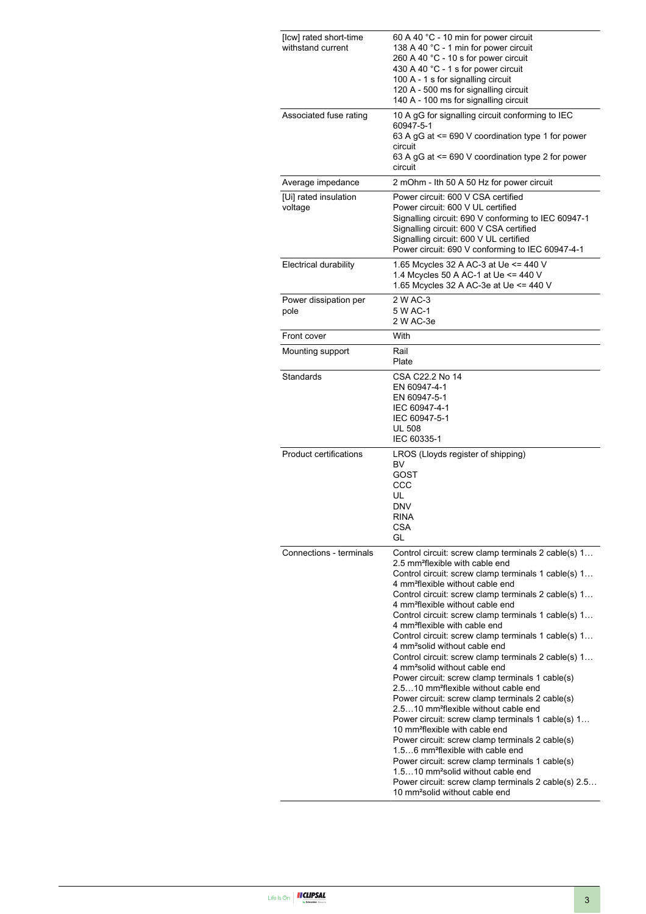| [Icw] rated short-time<br>withstand current | 60 A 40 °C - 10 min for power circuit<br>138 A 40 °C - 1 min for power circuit<br>260 A 40 °C - 10 s for power circuit<br>430 A 40 °C - 1 s for power circuit<br>100 A - 1 s for signalling circuit<br>120 A - 500 ms for signalling circuit<br>140 A - 100 ms for signalling circuit                                                                                                                                                                                                                                                                                                                                                                                                                                                                                                                                                                                                                                                                                                                                                                                                                                                                                                                                                                     |
|---------------------------------------------|-----------------------------------------------------------------------------------------------------------------------------------------------------------------------------------------------------------------------------------------------------------------------------------------------------------------------------------------------------------------------------------------------------------------------------------------------------------------------------------------------------------------------------------------------------------------------------------------------------------------------------------------------------------------------------------------------------------------------------------------------------------------------------------------------------------------------------------------------------------------------------------------------------------------------------------------------------------------------------------------------------------------------------------------------------------------------------------------------------------------------------------------------------------------------------------------------------------------------------------------------------------|
| Associated fuse rating                      | 10 A gG for signalling circuit conforming to IEC<br>60947-5-1<br>63 A gG at $\leq$ 690 V coordination type 1 for power<br>circuit<br>63 A gG at $\leq$ 690 V coordination type 2 for power<br>circuit                                                                                                                                                                                                                                                                                                                                                                                                                                                                                                                                                                                                                                                                                                                                                                                                                                                                                                                                                                                                                                                     |
| Average impedance                           | 2 mOhm - Ith 50 A 50 Hz for power circuit                                                                                                                                                                                                                                                                                                                                                                                                                                                                                                                                                                                                                                                                                                                                                                                                                                                                                                                                                                                                                                                                                                                                                                                                                 |
| [Ui] rated insulation<br>voltage            | Power circuit: 600 V CSA certified<br>Power circuit: 600 V UL certified<br>Signalling circuit: 690 V conforming to IEC 60947-1<br>Signalling circuit: 600 V CSA certified<br>Signalling circuit: 600 V UL certified<br>Power circuit: 690 V conforming to IEC 60947-4-1                                                                                                                                                                                                                                                                                                                                                                                                                                                                                                                                                                                                                                                                                                                                                                                                                                                                                                                                                                                   |
| <b>Electrical durability</b>                | 1.65 Mcycles 32 A AC-3 at Ue <= 440 V<br>1.4 Mcycles 50 A AC-1 at Ue <= 440 V<br>1.65 Mcycles 32 A AC-3e at Ue <= 440 V                                                                                                                                                                                                                                                                                                                                                                                                                                                                                                                                                                                                                                                                                                                                                                                                                                                                                                                                                                                                                                                                                                                                   |
| Power dissipation per<br>pole               | 2 W AC-3<br>5 W AC-1<br>2 W AC-3e                                                                                                                                                                                                                                                                                                                                                                                                                                                                                                                                                                                                                                                                                                                                                                                                                                                                                                                                                                                                                                                                                                                                                                                                                         |
| Front cover                                 | With                                                                                                                                                                                                                                                                                                                                                                                                                                                                                                                                                                                                                                                                                                                                                                                                                                                                                                                                                                                                                                                                                                                                                                                                                                                      |
| Mounting support                            | Rail<br>Plate                                                                                                                                                                                                                                                                                                                                                                                                                                                                                                                                                                                                                                                                                                                                                                                                                                                                                                                                                                                                                                                                                                                                                                                                                                             |
| Standards                                   | CSA C22.2 No 14<br>EN 60947-4-1<br>EN 60947-5-1<br>IEC 60947-4-1<br>IEC 60947-5-1<br><b>UL 508</b><br>IEC 60335-1                                                                                                                                                                                                                                                                                                                                                                                                                                                                                                                                                                                                                                                                                                                                                                                                                                                                                                                                                                                                                                                                                                                                         |
| <b>Product certifications</b>               | LROS (Lloyds register of shipping)<br>BV<br>GOST<br>CCC<br>UL<br><b>DNV</b><br>rina<br>CSA<br>GL                                                                                                                                                                                                                                                                                                                                                                                                                                                                                                                                                                                                                                                                                                                                                                                                                                                                                                                                                                                                                                                                                                                                                          |
| Connections - terminals                     | Control circuit: screw clamp terminals 2 cable(s) 1<br>2.5 mm <sup>2</sup> flexible with cable end<br>Control circuit: screw clamp terminals 1 cable(s) 1<br>4 mm <sup>2</sup> flexible without cable end<br>Control circuit: screw clamp terminals 2 cable(s) 1<br>4 mm <sup>2</sup> flexible without cable end<br>Control circuit: screw clamp terminals 1 cable(s) 1<br>4 mm <sup>2</sup> flexible with cable end<br>Control circuit: screw clamp terminals 1 cable(s) 1<br>4 mm <sup>2</sup> solid without cable end<br>Control circuit: screw clamp terminals 2 cable(s) 1<br>4 mm <sup>2</sup> solid without cable end<br>Power circuit: screw clamp terminals 1 cable(s)<br>2.510 mm <sup>2</sup> flexible without cable end<br>Power circuit: screw clamp terminals 2 cable(s)<br>2.510 mm <sup>2</sup> flexible without cable end<br>Power circuit: screw clamp terminals 1 cable(s) 1<br>10 mm <sup>2</sup> flexible with cable end<br>Power circuit: screw clamp terminals 2 cable(s)<br>1.56 mm <sup>2</sup> flexible with cable end<br>Power circuit: screw clamp terminals 1 cable(s)<br>1.510 mm <sup>2</sup> solid without cable end<br>Power circuit: screw clamp terminals 2 cable(s) 2.5<br>10 mm <sup>2</sup> solid without cable end |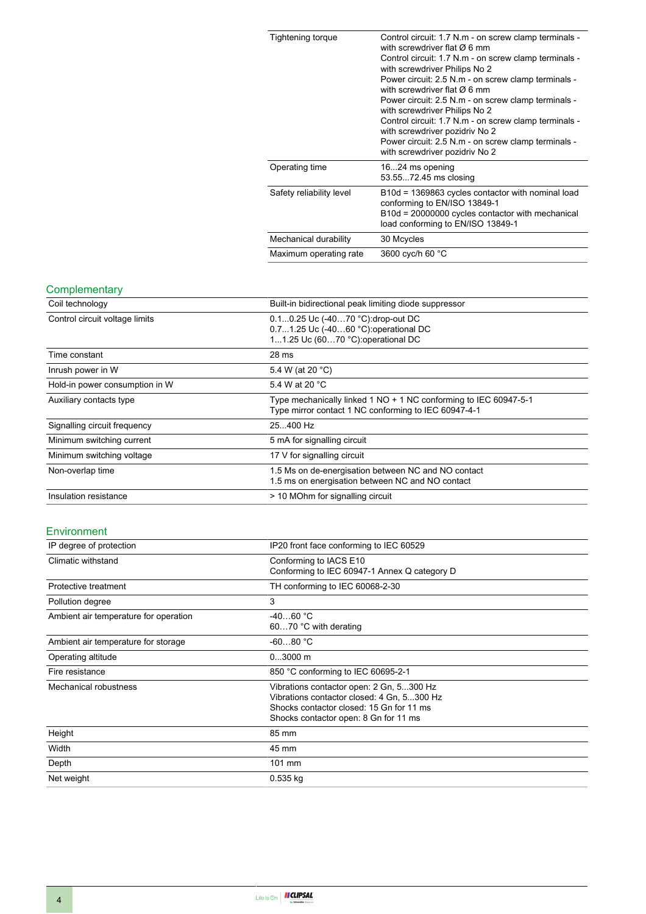| Tightening torque        | Control circuit: 1.7 N.m - on screw clamp terminals -<br>with screwdriver flat $\varnothing$ 6 mm<br>Control circuit: 1.7 N.m - on screw clamp terminals -<br>with screwdriver Philips No 2<br>Power circuit: 2.5 N.m - on screw clamp terminals -<br>with screwdriver flat $\varnothing$ 6 mm<br>Power circuit: 2.5 N.m - on screw clamp terminals -<br>with screwdriver Philips No 2<br>Control circuit: 1.7 N.m - on screw clamp terminals -<br>with screwdriver pozidriv No 2<br>Power circuit: 2.5 N.m - on screw clamp terminals -<br>with screwdriver pozidriv No 2 |
|--------------------------|----------------------------------------------------------------------------------------------------------------------------------------------------------------------------------------------------------------------------------------------------------------------------------------------------------------------------------------------------------------------------------------------------------------------------------------------------------------------------------------------------------------------------------------------------------------------------|
| Operating time           | 1624 ms opening<br>53.5572.45 ms closing                                                                                                                                                                                                                                                                                                                                                                                                                                                                                                                                   |
| Safety reliability level | B10d = 1369863 cycles contactor with nominal load<br>conforming to EN/ISO 13849-1<br>B10d = 20000000 cycles contactor with mechanical<br>load conforming to EN/ISO 13849-1                                                                                                                                                                                                                                                                                                                                                                                                 |
| Mechanical durability    | 30 Mcycles                                                                                                                                                                                                                                                                                                                                                                                                                                                                                                                                                                 |
| Maximum operating rate   | 3600 cyc/h 60 °C                                                                                                                                                                                                                                                                                                                                                                                                                                                                                                                                                           |

#### **Complementary**

| Coil technology                | Built-in bidirectional peak limiting diode suppressor                                                                    |
|--------------------------------|--------------------------------------------------------------------------------------------------------------------------|
| Control circuit voltage limits | 0.10.25 Uc (-4070 °C):drop-out DC<br>0.71.25 Uc (-4060 °C): operational DC<br>11.25 Uc (6070 °C): operational DC         |
| Time constant                  | 28 <sub>ms</sub>                                                                                                         |
| Inrush power in W              | 5.4 W (at 20 °C)                                                                                                         |
| Hold-in power consumption in W | 5.4 W at 20 °C                                                                                                           |
| Auxiliary contacts type        | Type mechanically linked 1 NO + 1 NC conforming to IEC 60947-5-1<br>Type mirror contact 1 NC conforming to IEC 60947-4-1 |
| Signalling circuit frequency   | 25400 Hz                                                                                                                 |
| Minimum switching current      | 5 mA for signalling circuit                                                                                              |
| Minimum switching voltage      | 17 V for signalling circuit                                                                                              |
| Non-overlap time               | 1.5 Ms on de-energisation between NC and NO contact<br>1.5 ms on energisation between NC and NO contact                  |
| Insulation resistance          | > 10 MOhm for signalling circuit                                                                                         |

#### Environment

| IP degree of protection               | IP20 front face conforming to IEC 60529                                                                                                                                     |  |
|---------------------------------------|-----------------------------------------------------------------------------------------------------------------------------------------------------------------------------|--|
| Climatic withstand                    | Conforming to IACS E10<br>Conforming to IEC 60947-1 Annex Q category D                                                                                                      |  |
| Protective treatment                  | TH conforming to IEC 60068-2-30                                                                                                                                             |  |
| Pollution degree                      | 3                                                                                                                                                                           |  |
| Ambient air temperature for operation | $-4060 °C$<br>6070 °C with derating                                                                                                                                         |  |
| Ambient air temperature for storage   | $-6080 °C$                                                                                                                                                                  |  |
| Operating altitude                    | $03000$ m                                                                                                                                                                   |  |
| Fire resistance                       | 850 °C conforming to IEC 60695-2-1                                                                                                                                          |  |
| Mechanical robustness                 | Vibrations contactor open: 2 Gn, 5300 Hz<br>Vibrations contactor closed: 4 Gn, 5300 Hz<br>Shocks contactor closed: 15 Gn for 11 ms<br>Shocks contactor open: 8 Gn for 11 ms |  |
| Height                                | 85 mm                                                                                                                                                                       |  |
| Width                                 | 45 mm                                                                                                                                                                       |  |
| Depth                                 | 101 mm                                                                                                                                                                      |  |
| Net weight                            | $0.535$ kg                                                                                                                                                                  |  |